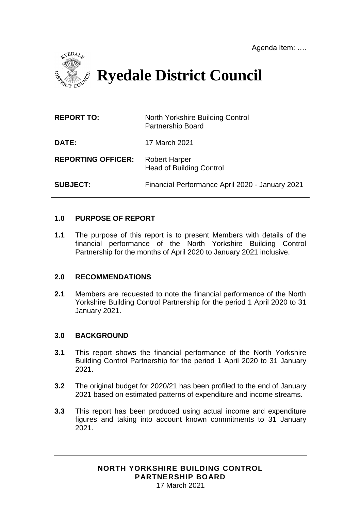

**Ryedale District Council**

| <b>REPORT TO:</b>         | North Yorkshire Building Control<br><b>Partnership Board</b> |
|---------------------------|--------------------------------------------------------------|
| <b>DATE:</b>              | 17 March 2021                                                |
| <b>REPORTING OFFICER:</b> | <b>Robert Harper</b><br><b>Head of Building Control</b>      |
| <b>SUBJECT:</b>           | Financial Performance April 2020 - January 2021              |

# **1.0 PURPOSE OF REPORT**

**1.1** The purpose of this report is to present Members with details of the financial performance of the North Yorkshire Building Control Partnership for the months of April 2020 to January 2021 inclusive.

# **2.0 RECOMMENDATIONS**

**2.1** Members are requested to note the financial performance of the North Yorkshire Building Control Partnership for the period 1 April 2020 to 31 January 2021.

### **3.0 BACKGROUND**

- **3.1** This report shows the financial performance of the North Yorkshire Building Control Partnership for the period 1 April 2020 to 31 January 2021.
- **3.2** The original budget for 2020/21 has been profiled to the end of January 2021 based on estimated patterns of expenditure and income streams.
- **3.3** This report has been produced using actual income and expenditure figures and taking into account known commitments to 31 January 2021.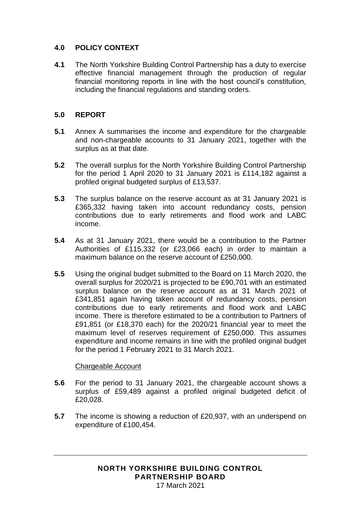# **4.0 POLICY CONTEXT**

**4.1** The North Yorkshire Building Control Partnership has a duty to exercise effective financial management through the production of regular financial monitoring reports in line with the host council's constitution, including the financial regulations and standing orders.

# **5.0 REPORT**

- **5.1** Annex A summarises the income and expenditure for the chargeable and non-chargeable accounts to 31 January 2021, together with the surplus as at that date.
- **5.2** The overall surplus for the North Yorkshire Building Control Partnership for the period 1 April 2020 to 31 January 2021 is £114,182 against a profiled original budgeted surplus of £13,537.
- **5.3** The surplus balance on the reserve account as at 31 January 2021 is £365,332 having taken into account redundancy costs, pension contributions due to early retirements and flood work and LABC income.
- **5.4** As at 31 January 2021, there would be a contribution to the Partner Authorities of £115,332 (or £23,066 each) in order to maintain a maximum balance on the reserve account of £250,000.
- **5.5** Using the original budget submitted to the Board on 11 March 2020, the overall surplus for 2020/21 is projected to be £90,701 with an estimated surplus balance on the reserve account as at 31 March 2021 of £341,851 again having taken account of redundancy costs, pension contributions due to early retirements and flood work and LABC income. There is therefore estimated to be a contribution to Partners of £91,851 (or £18,370 each) for the 2020/21 financial year to meet the maximum level of reserves requirement of £250,000. This assumes expenditure and income remains in line with the profiled original budget for the period 1 February 2021 to 31 March 2021.

# Chargeable Account

- **5.6** For the period to 31 January 2021, the chargeable account shows a surplus of £59,489 against a profiled original budgeted deficit of £20,028.
- **5.7** The income is showing a reduction of £20,937, with an underspend on expenditure of £100,454.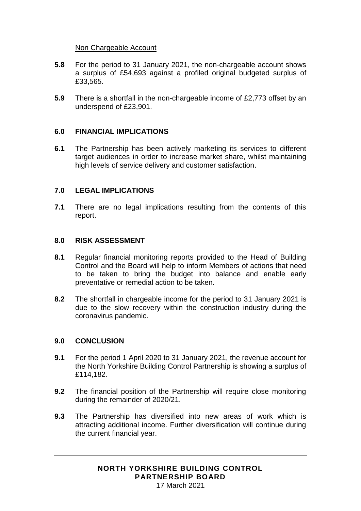### Non Chargeable Account

- **5.8** For the period to 31 January 2021, the non-chargeable account shows a surplus of £54,693 against a profiled original budgeted surplus of £33,565.
- **5.9** There is a shortfall in the non-chargeable income of £2,773 offset by an underspend of £23,901.

### **6.0 FINANCIAL IMPLICATIONS**

**6.1** The Partnership has been actively marketing its services to different target audiences in order to increase market share, whilst maintaining high levels of service delivery and customer satisfaction.

### **7.0 LEGAL IMPLICATIONS**

**7.1** There are no legal implications resulting from the contents of this report.

### **8.0 RISK ASSESSMENT**

- **8.1** Regular financial monitoring reports provided to the Head of Building Control and the Board will help to inform Members of actions that need to be taken to bring the budget into balance and enable early preventative or remedial action to be taken.
- **8.2** The shortfall in chargeable income for the period to 31 January 2021 is due to the slow recovery within the construction industry during the coronavirus pandemic.

### **9.0 CONCLUSION**

- **9.1** For the period 1 April 2020 to 31 January 2021, the revenue account for the North Yorkshire Building Control Partnership is showing a surplus of £114,182.
- **9.2** The financial position of the Partnership will require close monitoring during the remainder of 2020/21.
- **9.3** The Partnership has diversified into new areas of work which is attracting additional income. Further diversification will continue during the current financial year.